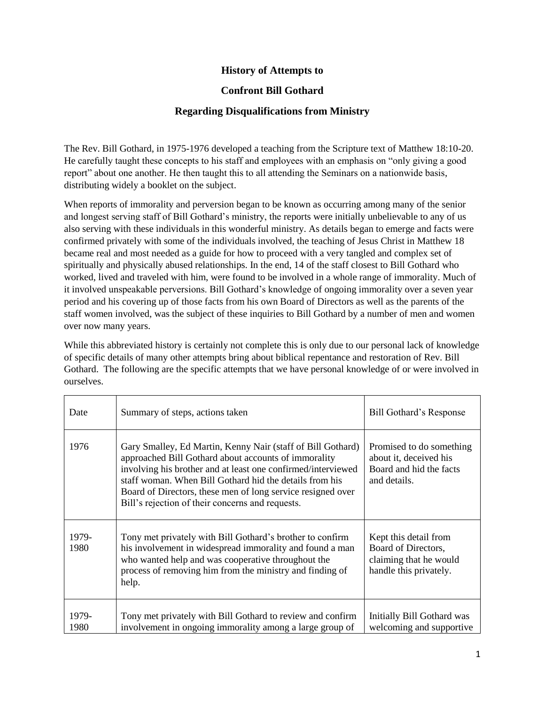## **History of Attempts to**

## **Confront Bill Gothard**

## **Regarding Disqualifications from Ministry**

The Rev. Bill Gothard, in 1975-1976 developed a teaching from the Scripture text of Matthew 18:10-20. He carefully taught these concepts to his staff and employees with an emphasis on "only giving a good report" about one another. He then taught this to all attending the Seminars on a nationwide basis, distributing widely a booklet on the subject.

When reports of immorality and perversion began to be known as occurring among many of the senior and longest serving staff of Bill Gothard's ministry, the reports were initially unbelievable to any of us also serving with these individuals in this wonderful ministry. As details began to emerge and facts were confirmed privately with some of the individuals involved, the teaching of Jesus Christ in Matthew 18 became real and most needed as a guide for how to proceed with a very tangled and complex set of spiritually and physically abused relationships. In the end, 14 of the staff closest to Bill Gothard who worked, lived and traveled with him, were found to be involved in a whole range of immorality. Much of it involved unspeakable perversions. Bill Gothard's knowledge of ongoing immorality over a seven year period and his covering up of those facts from his own Board of Directors as well as the parents of the staff women involved, was the subject of these inquiries to Bill Gothard by a number of men and women over now many years.

While this abbreviated history is certainly not complete this is only due to our personal lack of knowledge of specific details of many other attempts bring about biblical repentance and restoration of Rev. Bill Gothard. The following are the specific attempts that we have personal knowledge of or were involved in ourselves.

| Date          | Summary of steps, actions taken                                                                                                                                                                                                                                                                                                                                   | Bill Gothard's Response                                                                          |
|---------------|-------------------------------------------------------------------------------------------------------------------------------------------------------------------------------------------------------------------------------------------------------------------------------------------------------------------------------------------------------------------|--------------------------------------------------------------------------------------------------|
| 1976          | Gary Smalley, Ed Martin, Kenny Nair (staff of Bill Gothard)<br>approached Bill Gothard about accounts of immorality<br>involving his brother and at least one confirmed/interviewed<br>staff woman. When Bill Gothard hid the details from his<br>Board of Directors, these men of long service resigned over<br>Bill's rejection of their concerns and requests. | Promised to do something<br>about it, deceived his<br>Board and hid the facts<br>and details.    |
| 1979-<br>1980 | Tony met privately with Bill Gothard's brother to confirm<br>his involvement in widespread immorality and found a man<br>who wanted help and was cooperative throughout the<br>process of removing him from the ministry and finding of<br>help.                                                                                                                  | Kept this detail from<br>Board of Directors,<br>claiming that he would<br>handle this privately. |
| 1979-<br>1980 | Tony met privately with Bill Gothard to review and confirm<br>involvement in ongoing immorality among a large group of                                                                                                                                                                                                                                            | Initially Bill Gothard was<br>welcoming and supportive                                           |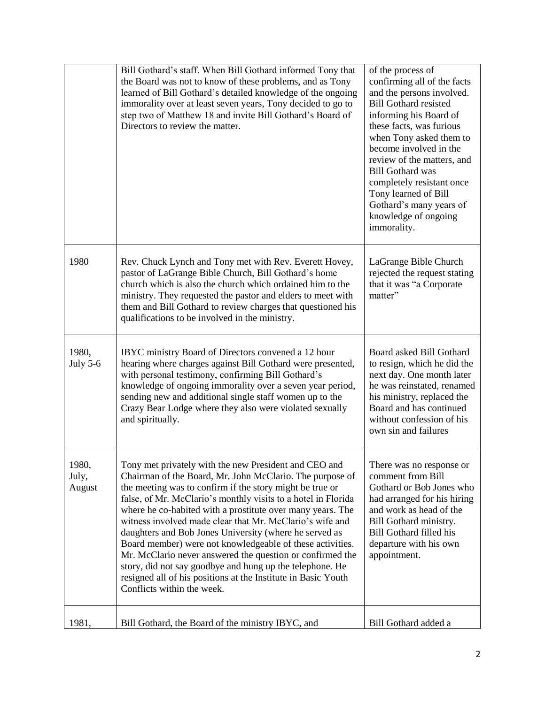|                          | Bill Gothard's staff. When Bill Gothard informed Tony that<br>the Board was not to know of these problems, and as Tony<br>learned of Bill Gothard's detailed knowledge of the ongoing<br>immorality over at least seven years, Tony decided to go to<br>step two of Matthew 18 and invite Bill Gothard's Board of<br>Directors to review the matter.                                                                                                                                                                                                                                                                                                                                                                    | of the process of<br>confirming all of the facts<br>and the persons involved.<br><b>Bill Gothard resisted</b><br>informing his Board of<br>these facts, was furious<br>when Tony asked them to<br>become involved in the<br>review of the matters, and<br><b>Bill Gothard was</b><br>completely resistant once<br>Tony learned of Bill<br>Gothard's many years of<br>knowledge of ongoing<br>immorality. |
|--------------------------|-------------------------------------------------------------------------------------------------------------------------------------------------------------------------------------------------------------------------------------------------------------------------------------------------------------------------------------------------------------------------------------------------------------------------------------------------------------------------------------------------------------------------------------------------------------------------------------------------------------------------------------------------------------------------------------------------------------------------|----------------------------------------------------------------------------------------------------------------------------------------------------------------------------------------------------------------------------------------------------------------------------------------------------------------------------------------------------------------------------------------------------------|
| 1980                     | Rev. Chuck Lynch and Tony met with Rev. Everett Hovey,<br>pastor of LaGrange Bible Church, Bill Gothard's home<br>church which is also the church which ordained him to the<br>ministry. They requested the pastor and elders to meet with<br>them and Bill Gothard to review charges that questioned his<br>qualifications to be involved in the ministry.                                                                                                                                                                                                                                                                                                                                                             | LaGrange Bible Church<br>rejected the request stating<br>that it was "a Corporate<br>matter"                                                                                                                                                                                                                                                                                                             |
| 1980,<br>July 5-6        | IBYC ministry Board of Directors convened a 12 hour<br>hearing where charges against Bill Gothard were presented,<br>with personal testimony, confirming Bill Gothard's<br>knowledge of ongoing immorality over a seven year period,<br>sending new and additional single staff women up to the<br>Crazy Bear Lodge where they also were violated sexually<br>and spiritually.                                                                                                                                                                                                                                                                                                                                          | Board asked Bill Gothard<br>to resign, which he did the<br>next day. One month later<br>he was reinstated, renamed<br>his ministry, replaced the<br>Board and has continued<br>without confession of his<br>own sin and failures                                                                                                                                                                         |
| 1980,<br>July,<br>August | Tony met privately with the new President and CEO and<br>Chairman of the Board, Mr. John McClario. The purpose of<br>the meeting was to confirm if the story might be true or<br>false, of Mr. McClario's monthly visits to a hotel in Florida<br>where he co-habited with a prostitute over many years. The<br>witness involved made clear that Mr. McClario's wife and<br>daughters and Bob Jones University (where he served as<br>Board member) were not knowledgeable of these activities.<br>Mr. McClario never answered the question or confirmed the<br>story, did not say goodbye and hung up the telephone. He<br>resigned all of his positions at the Institute in Basic Youth<br>Conflicts within the week. | There was no response or<br>comment from Bill<br>Gothard or Bob Jones who<br>had arranged for his hiring<br>and work as head of the<br>Bill Gothard ministry.<br>Bill Gothard filled his<br>departure with his own<br>appointment.                                                                                                                                                                       |
| 1981,                    | Bill Gothard, the Board of the ministry IBYC, and                                                                                                                                                                                                                                                                                                                                                                                                                                                                                                                                                                                                                                                                       | Bill Gothard added a                                                                                                                                                                                                                                                                                                                                                                                     |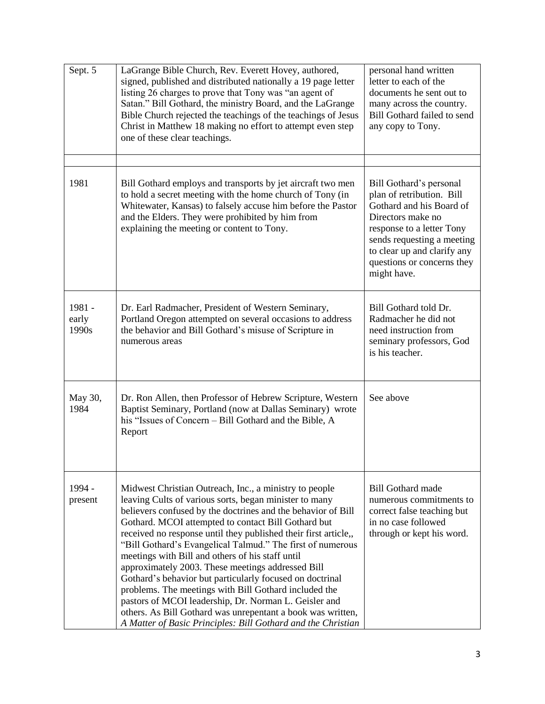| Sept. 5                  | LaGrange Bible Church, Rev. Everett Hovey, authored,<br>signed, published and distributed nationally a 19 page letter<br>listing 26 charges to prove that Tony was "an agent of<br>Satan." Bill Gothard, the ministry Board, and the LaGrange<br>Bible Church rejected the teachings of the teachings of Jesus<br>Christ in Matthew 18 making no effort to attempt even step<br>one of these clear teachings.                                                                                                                                                                                                                                                                                                                                                                                 | personal hand written<br>letter to each of the<br>documents he sent out to<br>many across the country.<br>Bill Gothard failed to send<br>any copy to Tony.                                                                                   |
|--------------------------|-----------------------------------------------------------------------------------------------------------------------------------------------------------------------------------------------------------------------------------------------------------------------------------------------------------------------------------------------------------------------------------------------------------------------------------------------------------------------------------------------------------------------------------------------------------------------------------------------------------------------------------------------------------------------------------------------------------------------------------------------------------------------------------------------|----------------------------------------------------------------------------------------------------------------------------------------------------------------------------------------------------------------------------------------------|
|                          |                                                                                                                                                                                                                                                                                                                                                                                                                                                                                                                                                                                                                                                                                                                                                                                               |                                                                                                                                                                                                                                              |
| 1981                     | Bill Gothard employs and transports by jet aircraft two men<br>to hold a secret meeting with the home church of Tony (in<br>Whitewater, Kansas) to falsely accuse him before the Pastor<br>and the Elders. They were prohibited by him from<br>explaining the meeting or content to Tony.                                                                                                                                                                                                                                                                                                                                                                                                                                                                                                     | Bill Gothard's personal<br>plan of retribution. Bill<br>Gothard and his Board of<br>Directors make no<br>response to a letter Tony<br>sends requesting a meeting<br>to clear up and clarify any<br>questions or concerns they<br>might have. |
| 1981 -<br>early<br>1990s | Dr. Earl Radmacher, President of Western Seminary,<br>Portland Oregon attempted on several occasions to address<br>the behavior and Bill Gothard's misuse of Scripture in<br>numerous areas                                                                                                                                                                                                                                                                                                                                                                                                                                                                                                                                                                                                   | Bill Gothard told Dr.<br>Radmacher he did not<br>need instruction from<br>seminary professors, God<br>is his teacher.                                                                                                                        |
| May 30,<br>1984          | Dr. Ron Allen, then Professor of Hebrew Scripture, Western<br>Baptist Seminary, Portland (now at Dallas Seminary) wrote<br>his "Issues of Concern - Bill Gothard and the Bible, A<br>Report                                                                                                                                                                                                                                                                                                                                                                                                                                                                                                                                                                                                   | See above                                                                                                                                                                                                                                    |
| 1994 -<br>present        | Midwest Christian Outreach, Inc., a ministry to people<br>leaving Cults of various sorts, began minister to many<br>believers confused by the doctrines and the behavior of Bill<br>Gothard. MCOI attempted to contact Bill Gothard but<br>received no response until they published their first article,<br>"Bill Gothard's Evangelical Talmud." The first of numerous<br>meetings with Bill and others of his staff until<br>approximately 2003. These meetings addressed Bill<br>Gothard's behavior but particularly focused on doctrinal<br>problems. The meetings with Bill Gothard included the<br>pastors of MCOI leadership, Dr. Norman L. Geisler and<br>others. As Bill Gothard was unrepentant a book was written,<br>A Matter of Basic Principles: Bill Gothard and the Christian | <b>Bill Gothard made</b><br>numerous commitments to<br>correct false teaching but<br>in no case followed<br>through or kept his word.                                                                                                        |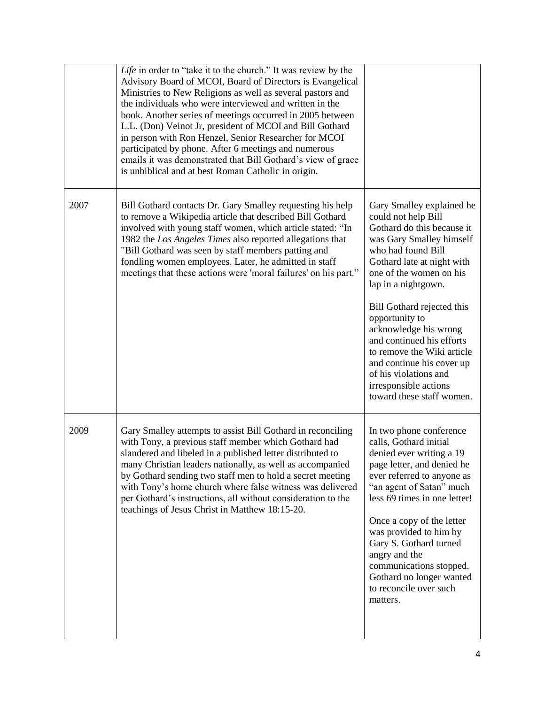|      | Life in order to "take it to the church." It was review by the<br>Advisory Board of MCOI, Board of Directors is Evangelical<br>Ministries to New Religions as well as several pastors and<br>the individuals who were interviewed and written in the<br>book. Another series of meetings occurred in 2005 between<br>L.L. (Don) Veinot Jr, president of MCOI and Bill Gothard<br>in person with Ron Henzel, Senior Researcher for MCOI<br>participated by phone. After 6 meetings and numerous<br>emails it was demonstrated that Bill Gothard's view of grace<br>is unbiblical and at best Roman Catholic in origin. |                                                                                                                                                                                                                                                                                                                                                                                                                                                                  |
|------|-----------------------------------------------------------------------------------------------------------------------------------------------------------------------------------------------------------------------------------------------------------------------------------------------------------------------------------------------------------------------------------------------------------------------------------------------------------------------------------------------------------------------------------------------------------------------------------------------------------------------|------------------------------------------------------------------------------------------------------------------------------------------------------------------------------------------------------------------------------------------------------------------------------------------------------------------------------------------------------------------------------------------------------------------------------------------------------------------|
| 2007 | Bill Gothard contacts Dr. Gary Smalley requesting his help<br>to remove a Wikipedia article that described Bill Gothard<br>involved with young staff women, which article stated: "In<br>1982 the Los Angeles Times also reported allegations that<br>"Bill Gothard was seen by staff members patting and<br>fondling women employees. Later, he admitted in staff<br>meetings that these actions were 'moral failures' on his part."                                                                                                                                                                                 | Gary Smalley explained he<br>could not help Bill<br>Gothard do this because it<br>was Gary Smalley himself<br>who had found Bill<br>Gothard late at night with<br>one of the women on his<br>lap in a nightgown.<br>Bill Gothard rejected this<br>opportunity to<br>acknowledge his wrong<br>and continued his efforts<br>to remove the Wiki article<br>and continue his cover up<br>of his violations and<br>irresponsible actions<br>toward these staff women. |
| 2009 | Gary Smalley attempts to assist Bill Gothard in reconciling<br>with Tony, a previous staff member which Gothard had<br>slandered and libeled in a published letter distributed to<br>many Christian leaders nationally, as well as accompanied<br>by Gothard sending two staff men to hold a secret meeting<br>with Tony's home church where false witness was delivered<br>per Gothard's instructions, all without consideration to the<br>teachings of Jesus Christ in Matthew 18:15-20.                                                                                                                            | In two phone conference<br>calls, Gothard initial<br>denied ever writing a 19<br>page letter, and denied he<br>ever referred to anyone as<br>"an agent of Satan" much<br>less 69 times in one letter!<br>Once a copy of the letter<br>was provided to him by<br>Gary S. Gothard turned<br>angry and the<br>communications stopped.<br>Gothard no longer wanted<br>to reconcile over such<br>matters.                                                             |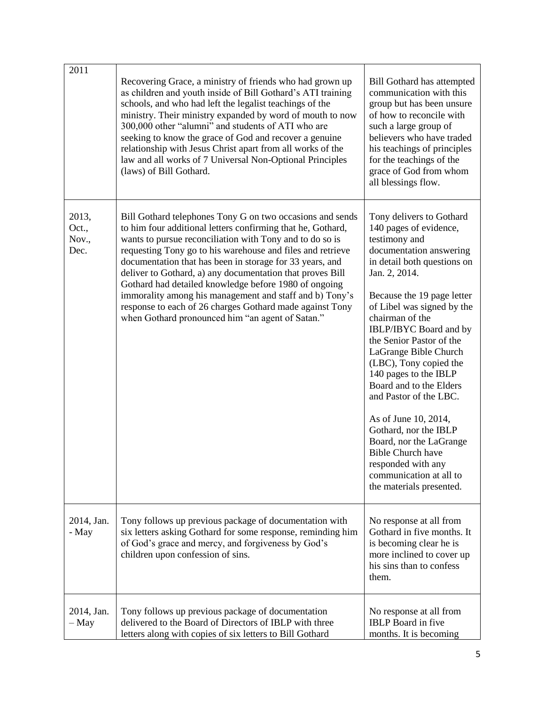| 2011                            | Recovering Grace, a ministry of friends who had grown up<br>as children and youth inside of Bill Gothard's ATI training<br>schools, and who had left the legalist teachings of the<br>ministry. Their ministry expanded by word of mouth to now<br>300,000 other "alumni" and students of ATI who are<br>seeking to know the grace of God and recover a genuine<br>relationship with Jesus Christ apart from all works of the<br>law and all works of 7 Universal Non-Optional Principles<br>(laws) of Bill Gothard.                                                                                            | <b>Bill Gothard has attempted</b><br>communication with this<br>group but has been unsure<br>of how to reconcile with<br>such a large group of<br>believers who have traded<br>his teachings of principles<br>for the teachings of the<br>grace of God from whom<br>all blessings flow.                                                                                                                                                                                                                                                                                                                   |
|---------------------------------|-----------------------------------------------------------------------------------------------------------------------------------------------------------------------------------------------------------------------------------------------------------------------------------------------------------------------------------------------------------------------------------------------------------------------------------------------------------------------------------------------------------------------------------------------------------------------------------------------------------------|-----------------------------------------------------------------------------------------------------------------------------------------------------------------------------------------------------------------------------------------------------------------------------------------------------------------------------------------------------------------------------------------------------------------------------------------------------------------------------------------------------------------------------------------------------------------------------------------------------------|
| 2013,<br>Oct.,<br>Nov.,<br>Dec. | Bill Gothard telephones Tony G on two occasions and sends<br>to him four additional letters confirming that he, Gothard,<br>wants to pursue reconciliation with Tony and to do so is<br>requesting Tony go to his warehouse and files and retrieve<br>documentation that has been in storage for 33 years, and<br>deliver to Gothard, a) any documentation that proves Bill<br>Gothard had detailed knowledge before 1980 of ongoing<br>immorality among his management and staff and b) Tony's<br>response to each of 26 charges Gothard made against Tony<br>when Gothard pronounced him "an agent of Satan." | Tony delivers to Gothard<br>140 pages of evidence,<br>testimony and<br>documentation answering<br>in detail both questions on<br>Jan. 2, 2014.<br>Because the 19 page letter<br>of Libel was signed by the<br>chairman of the<br>IBLP/IBYC Board and by<br>the Senior Pastor of the<br>LaGrange Bible Church<br>(LBC), Tony copied the<br>140 pages to the IBLP<br>Board and to the Elders<br>and Pastor of the LBC.<br>As of June 10, 2014,<br>Gothard, nor the IBLP<br>Board, nor the LaGrange<br><b>Bible Church have</b><br>responded with any<br>communication at all to<br>the materials presented. |
| 2014, Jan.<br>- May             | Tony follows up previous package of documentation with<br>six letters asking Gothard for some response, reminding him<br>of God's grace and mercy, and forgiveness by God's<br>children upon confession of sins.                                                                                                                                                                                                                                                                                                                                                                                                | No response at all from<br>Gothard in five months. It<br>is becoming clear he is<br>more inclined to cover up<br>his sins than to confess<br>them.                                                                                                                                                                                                                                                                                                                                                                                                                                                        |
| 2014, Jan.<br>$-$ May           | Tony follows up previous package of documentation<br>delivered to the Board of Directors of IBLP with three<br>letters along with copies of six letters to Bill Gothard                                                                                                                                                                                                                                                                                                                                                                                                                                         | No response at all from<br><b>IBLP</b> Board in five<br>months. It is becoming                                                                                                                                                                                                                                                                                                                                                                                                                                                                                                                            |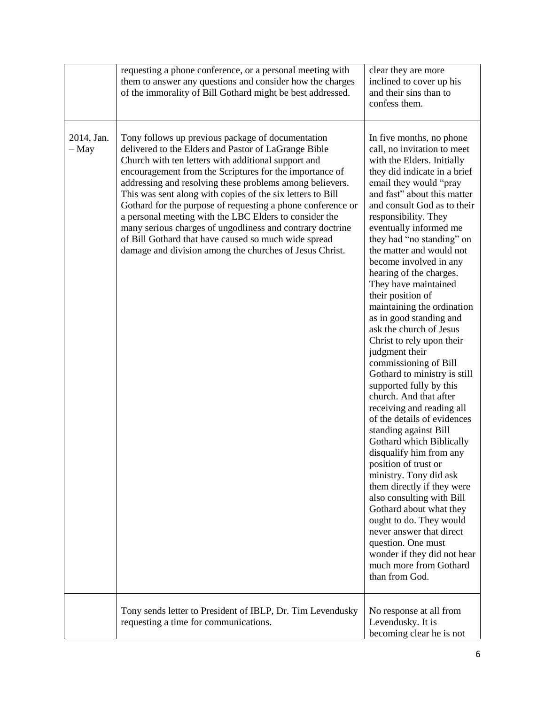|                       | requesting a phone conference, or a personal meeting with<br>them to answer any questions and consider how the charges<br>of the immorality of Bill Gothard might be best addressed.                                                                                                                                                                                                                                                                                                                                                                                                                                                                           | clear they are more<br>inclined to cover up his<br>and their sins than to<br>confess them.                                                                                                                                                                                                                                                                                                                                                                                                                                                                                                                                                                                                                                                                                                                                                                                                                                                                                                                                                                                                                               |
|-----------------------|----------------------------------------------------------------------------------------------------------------------------------------------------------------------------------------------------------------------------------------------------------------------------------------------------------------------------------------------------------------------------------------------------------------------------------------------------------------------------------------------------------------------------------------------------------------------------------------------------------------------------------------------------------------|--------------------------------------------------------------------------------------------------------------------------------------------------------------------------------------------------------------------------------------------------------------------------------------------------------------------------------------------------------------------------------------------------------------------------------------------------------------------------------------------------------------------------------------------------------------------------------------------------------------------------------------------------------------------------------------------------------------------------------------------------------------------------------------------------------------------------------------------------------------------------------------------------------------------------------------------------------------------------------------------------------------------------------------------------------------------------------------------------------------------------|
| 2014, Jan.<br>$-$ May | Tony follows up previous package of documentation<br>delivered to the Elders and Pastor of LaGrange Bible<br>Church with ten letters with additional support and<br>encouragement from the Scriptures for the importance of<br>addressing and resolving these problems among believers.<br>This was sent along with copies of the six letters to Bill<br>Gothard for the purpose of requesting a phone conference or<br>a personal meeting with the LBC Elders to consider the<br>many serious charges of ungodliness and contrary doctrine<br>of Bill Gothard that have caused so much wide spread<br>damage and division among the churches of Jesus Christ. | In five months, no phone<br>call, no invitation to meet<br>with the Elders. Initially<br>they did indicate in a brief<br>email they would "pray"<br>and fast" about this matter<br>and consult God as to their<br>responsibility. They<br>eventually informed me<br>they had "no standing" on<br>the matter and would not<br>become involved in any<br>hearing of the charges.<br>They have maintained<br>their position of<br>maintaining the ordination<br>as in good standing and<br>ask the church of Jesus<br>Christ to rely upon their<br>judgment their<br>commissioning of Bill<br>Gothard to ministry is still<br>supported fully by this<br>church. And that after<br>receiving and reading all<br>of the details of evidences<br>standing against Bill<br>Gothard which Biblically<br>disqualify him from any<br>position of trust or<br>ministry. Tony did ask<br>them directly if they were<br>also consulting with Bill<br>Gothard about what they<br>ought to do. They would<br>never answer that direct<br>question. One must<br>wonder if they did not hear<br>much more from Gothard<br>than from God. |
|                       | Tony sends letter to President of IBLP, Dr. Tim Levendusky<br>requesting a time for communications.                                                                                                                                                                                                                                                                                                                                                                                                                                                                                                                                                            | No response at all from<br>Levendusky. It is<br>becoming clear he is not                                                                                                                                                                                                                                                                                                                                                                                                                                                                                                                                                                                                                                                                                                                                                                                                                                                                                                                                                                                                                                                 |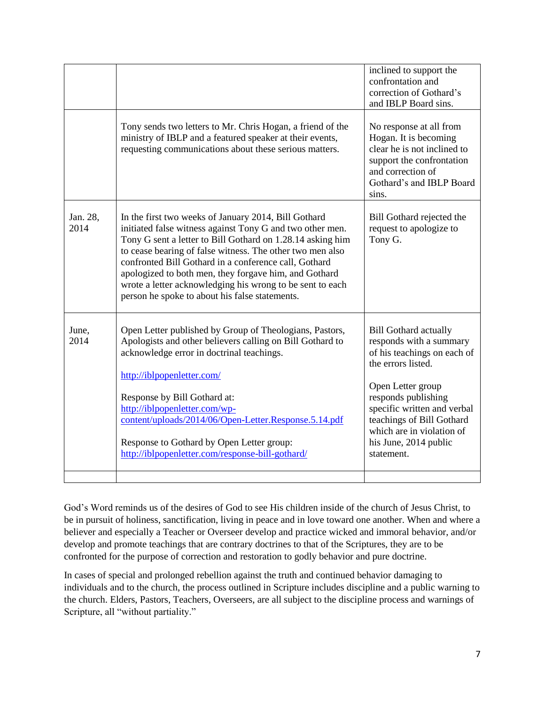|                                                                                                                                                                                                                                                                                                                                                                                                                                                                               | inclined to support the<br>confrontation and<br>correction of Gothard's<br>and IBLP Board sins.                                                                                                                                                                                          |
|-------------------------------------------------------------------------------------------------------------------------------------------------------------------------------------------------------------------------------------------------------------------------------------------------------------------------------------------------------------------------------------------------------------------------------------------------------------------------------|------------------------------------------------------------------------------------------------------------------------------------------------------------------------------------------------------------------------------------------------------------------------------------------|
| Tony sends two letters to Mr. Chris Hogan, a friend of the<br>ministry of IBLP and a featured speaker at their events,<br>requesting communications about these serious matters.                                                                                                                                                                                                                                                                                              | No response at all from<br>Hogan. It is becoming<br>clear he is not inclined to<br>support the confrontation<br>and correction of<br>Gothard's and IBLP Board<br>sins.                                                                                                                   |
| In the first two weeks of January 2014, Bill Gothard<br>initiated false witness against Tony G and two other men.<br>Tony G sent a letter to Bill Gothard on 1.28.14 asking him<br>to cease bearing of false witness. The other two men also<br>confronted Bill Gothard in a conference call, Gothard<br>apologized to both men, they forgave him, and Gothard<br>wrote a letter acknowledging his wrong to be sent to each<br>person he spoke to about his false statements. | Bill Gothard rejected the<br>request to apologize to<br>Tony G.                                                                                                                                                                                                                          |
| Open Letter published by Group of Theologians, Pastors,<br>Apologists and other believers calling on Bill Gothard to<br>acknowledge error in doctrinal teachings.<br>http://iblpopenletter.com/<br>Response by Bill Gothard at:<br>http://iblpopenletter.com/wp-<br>content/uploads/2014/06/Open-Letter.Response.5.14.pdf<br>Response to Gothard by Open Letter group:<br>http://iblpopenletter.com/response-bill-gothard/                                                    | <b>Bill Gothard actually</b><br>responds with a summary<br>of his teachings on each of<br>the errors listed.<br>Open Letter group<br>responds publishing<br>specific written and verbal<br>teachings of Bill Gothard<br>which are in violation of<br>his June, 2014 public<br>statement. |
|                                                                                                                                                                                                                                                                                                                                                                                                                                                                               |                                                                                                                                                                                                                                                                                          |

God's Word reminds us of the desires of God to see His children inside of the church of Jesus Christ, to be in pursuit of holiness, sanctification, living in peace and in love toward one another. When and where a believer and especially a Teacher or Overseer develop and practice wicked and immoral behavior, and/or develop and promote teachings that are contrary doctrines to that of the Scriptures, they are to be confronted for the purpose of correction and restoration to godly behavior and pure doctrine.

In cases of special and prolonged rebellion against the truth and continued behavior damaging to individuals and to the church, the process outlined in Scripture includes discipline and a public warning to the church. Elders, Pastors, Teachers, Overseers, are all subject to the discipline process and warnings of Scripture, all "without partiality."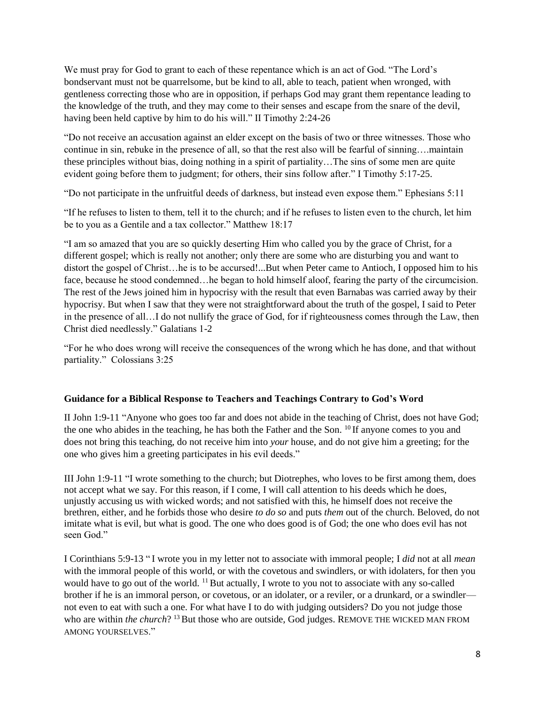We must pray for God to grant to each of these repentance which is an act of God. "The Lord's bondservant must not be quarrelsome, but be kind to all, able to teach, patient when wronged, with gentleness correcting those who are in opposition, if perhaps God may grant them repentance leading to the knowledge of the truth, and they may come to their senses and escape from the snare of the devil, having been held captive by him to do his will." II Timothy 2:24-26

"Do not receive an accusation against an elder except on the basis of two or three witnesses. Those who continue in sin, rebuke in the presence of all, so that the rest also will be fearful of sinning….maintain these principles without bias, doing nothing in a spirit of partiality…The sins of some men are quite evident going before them to judgment; for others, their sins follow after." I Timothy 5:17-25.

"Do not participate in the unfruitful deeds of darkness, but instead even expose them." Ephesians 5:11

"If he refuses to listen to them, tell it to the church; and if he refuses to listen even to the church, let him be to you as a Gentile and a tax collector." Matthew 18:17

"I am so amazed that you are so quickly deserting Him who called you by the grace of Christ, for a different gospel; which is really not another; only there are some who are disturbing you and want to distort the gospel of Christ…he is to be accursed!...But when Peter came to Antioch, I opposed him to his face, because he stood condemned…he began to hold himself aloof, fearing the party of the circumcision. The rest of the Jews joined him in hypocrisy with the result that even Barnabas was carried away by their hypocrisy. But when I saw that they were not straightforward about the truth of the gospel, I said to Peter in the presence of all…I do not nullify the grace of God, for if righteousness comes through the Law, then Christ died needlessly." Galatians 1-2

"For he who does wrong will receive the consequences of the wrong which he has done, and that without partiality." Colossians 3:25

## **Guidance for a Biblical Response to Teachers and Teachings Contrary to God's Word**

II John 1:9-11 "Anyone who goes too far and does not abide in the teaching of Christ, does not have God; the one who abides in the teaching, he has both the Father and the Son. <sup>10</sup> If anyone comes to you and does not bring this teaching, do not receive him into *your* house, and do not give him a greeting; for the one who gives him a greeting participates in his evil deeds."

III John 1:9-11 "I wrote something to the church; but Diotrephes, who loves to be first among them, does not accept what we say. For this reason, if I come, I will call attention to his deeds which he does, unjustly accusing us with wicked words; and not satisfied with this, he himself does not receive the brethren, either, and he forbids those who desire *to do so* and puts *them* out of the church. Beloved, do not imitate what is evil, but what is good. The one who does good is of God; the one who does evil has not seen God."

I Corinthians 5:9-13 " I wrote you in my letter not to associate with immoral people; I *did* not at all *mean* with the immoral people of this world, or with the covetous and swindlers, or with idolaters, for then you would have to go out of the world. <sup>11</sup> But actually, I wrote to you not to associate with any so-called brother if he is an immoral person, or covetous, or an idolater, or a reviler, or a drunkard, or a swindler not even to eat with such a one. For what have I to do with judging outsiders? Do you not judge those who are within *the church*?<sup>13</sup> But those who are outside, God judges. REMOVE THE WICKED MAN FROM AMONG YOURSELVES."